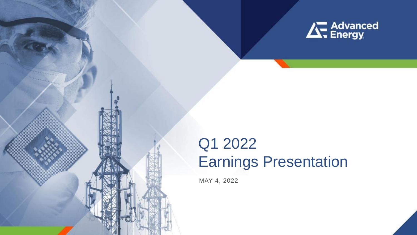

**1**

# Q1 2022 Earnings Presentation

MAY 4, 2022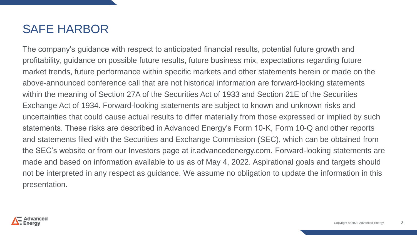### SAFE HARBOR

The company's guidance with respect to anticipated financial results, potential future growth and profitability, guidance on possible future results, future business mix, expectations regarding future market trends, future performance within specific markets and other statements herein or made on the above-announced conference call that are not historical information are forward-looking statements within the meaning of Section 27A of the Securities Act of 1933 and Section 21E of the Securities Exchange Act of 1934. Forward-looking statements are subject to known and unknown risks and uncertainties that could cause actual results to differ materially from those expressed or implied by such statements. These risks are described in Advanced Energy's Form 10-K, Form 10-Q and other reports and statements filed with the Securities and Exchange Commission (SEC), which can be obtained from the SEC's website or from our Investors page at ir.advancedenergy.com. Forward-looking statements are made and based on information available to us as of May 4, 2022. Aspirational goals and targets should not be interpreted in any respect as guidance. We assume no obligation to update the information in this presentation.

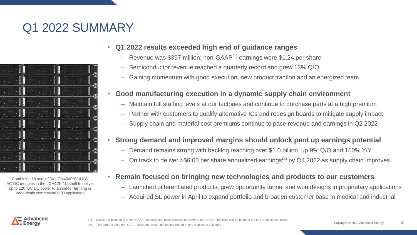## Q1 2022 SUMMARY



Combining 10 sets of 3X LCM4000HV 4 KW AC-DC modules in the LCM12K 1U shelf to deliver up to 120 KW DC power to an indoor farming or large-scale commercial LED application

### • **Q1 2022 results exceeded high end of guidance ranges**

- $-$  Revenue was \$397 million; non-GAAP $(1)$  earnings were \$1.24 per share
- Semiconductor revenue reached a quarterly record and grew 13% Q/Q
- ‒ Gaining momentum with good execution, new product traction and an energized team

### • **Good manufacturing execution in a dynamic supply chain environment**

- ‒ Maintain full staffing levels at our factories and continue to purchase parts at a high premium
- Partner with customers to qualify alternative ICs and redesign boards to mitigate supply impact
- ‒ Supply chain and material cost premiums continue to pace revenue and earnings in Q2 2022

#### • **Strong demand and improved margins should unlock pent up earnings potential**

- ‒ Demand remains strong with backlog reaching over \$1.0 billion, up 9% Q/Q and 150% Y/Y
- $-$  On track to deliver >\$6.00 per share annualized earnings<sup>(2)</sup> by Q4 2022 as supply chain improves

#### • **Remain focused on bringing new technologies and products to our customers**

- ‒ Launched differentiated products, grew opportunity funnel and won designs in proprietary applications
- Acquired SL power in April to expand portfolio and broaden customer base in medical and industrial



Detailed explanations of non-GAAP financials and reconciliations of GAAP to non-GAAP financials can be found at the end of this presentation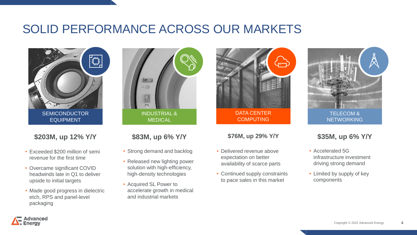### SOLID PERFORMANCE ACROSS OUR MARKETS



**\$203M, up 12% Y/Y**

- Exceeded \$200 million of semi revenue for the first time
- Overcame significant COVID headwinds late in Q1 to deliver upside to initial targets
- Made good progress in dielectric etch, RPS and panel-level packaging



### **\$83M, up 6% Y/Y**

- Strong demand and backlog
- Released new lighting power solution with high-efficiency, high-density technologies
- Acquired SL Power to accelerate growth in medical and industrial markets



#### **\$76M, up 29% Y/Y**

- Delivered revenue above expectation on better availability of scarce parts
- Continued supply constraints to pace sales in this market



### **\$35M, up 6% Y/Y**

- Accelerated 5G infrastructure investment driving strong demand
- Limited by supply of key components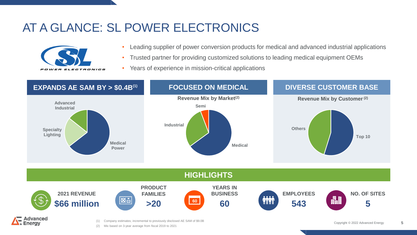## AT A GLANCE: SL POWER ELECTRONICS



- Leading supplier of power conversion products for medical and advanced industrial applications
- Trusted partner for providing customized solutions to leading medical equipment OEMs
- Years of experience in mission-critical applications



(2) Mix based on 3-year average from fiscal 2019 to 2021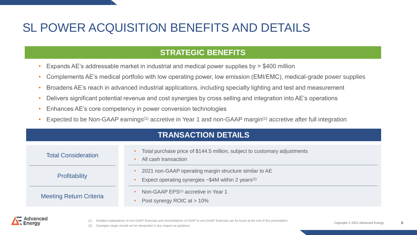## SL POWER ACQUISITION BENEFITS AND DETAILS

### **STRATEGIC BENEFITS**

- Expands AE's addressable market in industrial and medical power supplies by > \$400 million
- Complements AE's medical portfolio with low operating power, low emission (EMI/EMC), medical-grade power supplies
- Broadens AE's reach in advanced industrial applications, including specialty lighting and test and measurement
- Delivers significant potential revenue and cost synergies by cross selling and integration into AE's operations
- Enhances AE's core competency in power conversion technologies
- Expected to be Non-GAAP earnings<sup>(1)</sup> accretive in Year 1 and non-GAAP margin<sup>(1)</sup> accretive after full integration

| <b>TRANSACTION DETAILS</b>     |                                                                                                                               |  |  |  |  |
|--------------------------------|-------------------------------------------------------------------------------------------------------------------------------|--|--|--|--|
| <b>Total Consideration</b>     | Total purchase price of \$144.5 million, subject to customary adjustments<br>All cash transaction                             |  |  |  |  |
| <b>Profitability</b>           | 2021 non-GAAP operating margin structure similar to AE<br>Expect operating synergies $\sim $4M$ within 2 years <sup>(2)</sup> |  |  |  |  |
| <b>Meeting Return Criteria</b> | Non-GAAP EPS <sup>(1)</sup> accretive in Year 1<br>Post synergy ROIC at > 10%                                                 |  |  |  |  |



Detailed explanations of non-GAAP financials and reconciliations of GAAP to non-GAAP financials can be found at the end of this presentation

**6**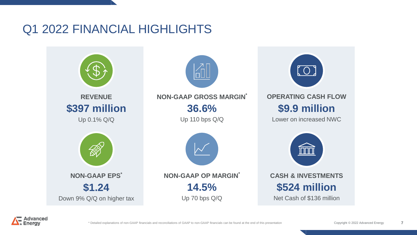### Q1 2022 FINANCIAL HIGHLIGHTS



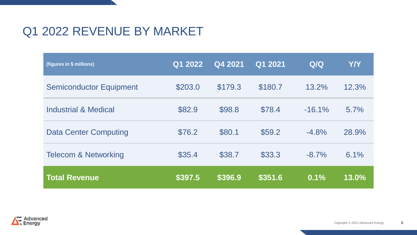## Q1 2022 REVENUE BY MARKET

| (figures in \$ millions)        | Q1 2022 | Q4 2021 | Q1 2021 | Q/Q      | <b>Y/Y</b> |
|---------------------------------|---------|---------|---------|----------|------------|
| <b>Semiconductor Equipment</b>  | \$203.0 | \$179.3 | \$180.7 | 13.2%    | 12.3%      |
| <b>Industrial &amp; Medical</b> | \$82.9  | \$98.8  | \$78.4  | $-16.1%$ | 5.7%       |
| <b>Data Center Computing</b>    | \$76.2  | \$80.1  | \$59.2  | $-4.8%$  | 28.9%      |
| <b>Telecom &amp; Networking</b> | \$35.4  | \$38.7  | \$33.3  | $-8.7\%$ | 6.1%       |
| <b>Total Revenue</b>            | \$397.5 | \$396.9 | \$351.6 | 0.1%     | 13.0%      |

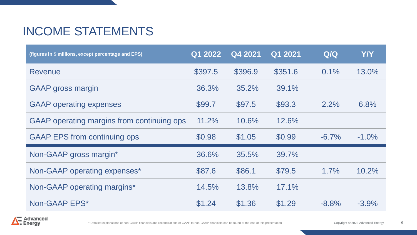## INCOME STATEMENTS

| (figures in \$ millions, except percentage and EPS) | Q1 2022 | Q4 2021 | Q1 2021 | Q/Q      | <b>Y/Y</b> |
|-----------------------------------------------------|---------|---------|---------|----------|------------|
| Revenue                                             | \$397.5 | \$396.9 | \$351.6 | $0.1\%$  | 13.0%      |
| <b>GAAP</b> gross margin                            | 36.3%   | 35.2%   | 39.1%   |          |            |
| <b>GAAP</b> operating expenses                      | \$99.7  | \$97.5  | \$93.3  | $2.2\%$  | 6.8%       |
| GAAP operating margins from continuing ops          | 11.2%   | 10.6%   | 12.6%   |          |            |
| <b>GAAP EPS from continuing ops</b>                 | \$0.98  | \$1.05  | \$0.99  | $-6.7\%$ | $-1.0\%$   |
| Non-GAAP gross margin*                              | 36.6%   | 35.5%   | 39.7%   |          |            |
| Non-GAAP operating expenses*                        | \$87.6  | \$86.1  | \$79.5  | 1.7%     | 10.2%      |
| Non-GAAP operating margins*                         | 14.5%   | 13.8%   | 17.1%   |          |            |
| Non-GAAP EPS*                                       | \$1.24  | \$1.36  | \$1.29  | $-8.8%$  | $-3.9%$    |



**9**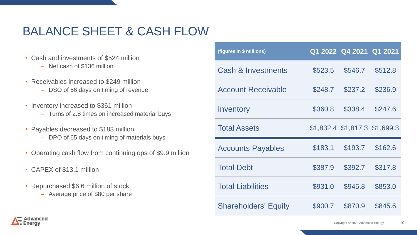## BALANCE SHEET & CASH FLOW

- Cash and investments of \$524 million
	- Net cash of \$136 million
- Receivables increased to \$249 million
	- DSO of 56 days on timing of revenue
- Inventory increased to \$361 million
	- ‒ Turns of 2.8 times on increased material buys
- Payables decreased to \$183 million
	- DPO of 65 days on timing of materials buys
- Operating cash flow from continuing ops of \$9.9 million
- CAPEX of \$13.1 million
- Repurchased \$6.6 million of stock
	- Average price of \$80 per share

| (figures in \$ millions)  |         | Q1 2022 Q4 2021 Q1 2021       |         |
|---------------------------|---------|-------------------------------|---------|
| Cash & Investments        | \$523.5 | \$546.7                       | \$512.8 |
| <b>Account Receivable</b> | \$248.7 | \$237.2                       | \$236.9 |
| Inventory                 | \$360.8 | \$338.4                       | \$247.6 |
| <b>Total Assets</b>       |         | \$1,832.4 \$1,817.3 \$1,699.3 |         |
| <b>Accounts Payables</b>  | \$183.1 | \$193.7                       | \$162.6 |
| <b>Total Debt</b>         | \$387.9 | \$392.7                       | \$317.8 |
|                           |         |                               |         |
| <b>Total Liabilities</b>  | \$931.0 | \$945.8                       | \$853.0 |

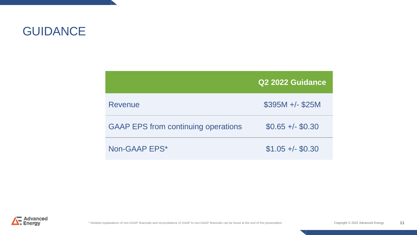### GUIDANCE

|                                            | Q2 2022 Guidance  |
|--------------------------------------------|-------------------|
| Revenue                                    | $$395M +/- $25M$  |
| <b>GAAP EPS from continuing operations</b> | $$0.65 +/- $0.30$ |
| Non-GAAP EPS*                              | $$1.05 +/- $0.30$ |

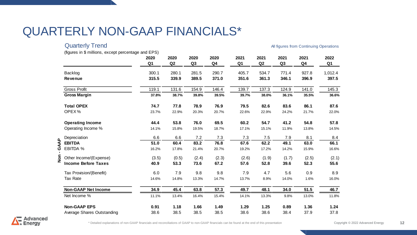### QUARTERLY NON-GAAP FINANCIALS\*

| <b>Quarterly Trend</b>                              |                        |            |                        |                        |                        |            |                        | All figures from Continuing Operations |                        |
|-----------------------------------------------------|------------------------|------------|------------------------|------------------------|------------------------|------------|------------------------|----------------------------------------|------------------------|
| (figures in \$ millions, except percentage and EPS) | 2020<br>Q <sub>1</sub> | 2020<br>Q2 | 2020<br>Q <sub>3</sub> | 2020<br>Q <sub>4</sub> | 2021<br>Q <sub>1</sub> | 2021<br>Q2 | 2021<br>Q <sub>3</sub> | 2021<br>Q <sub>4</sub>                 | 2022<br>Q <sub>1</sub> |
| Backlog                                             | 300.1                  | 280.1      | 281.5                  | 290.7                  | 405.7                  | 534.7      | 771.4                  | 927.8                                  | 1,012.4                |
| <b>Revenue</b>                                      | 315.5                  | 339.9      | 389.5                  | 371.0                  | 351.6                  | 361.3      | 346.1                  | 396.9                                  | 397.5                  |
| <b>Gross Profit</b>                                 | 119.1                  | 131.6      | 154.9                  | 146.4                  | 139.7                  | 137.3      | 124.9                  | 141.0                                  | 145.3                  |
| <b>Gross Margin</b>                                 | 37.8%                  | 38.7%      | 39.8%                  | 39.5%                  | 39.7%                  | 38.0%      | 36.1%                  | 35.5%                                  | 36.6%                  |
| <b>Total OPEX</b>                                   | 74.7                   | 77.8       | 78.9                   | 76.9                   | 79.5                   | 82.6       | 83.6                   | 86.1                                   | 87.6                   |
| OPEX%                                               | 23.7%                  | 22.9%      | 20.3%                  | 20.7%                  | 22.6%                  | 22.9%      | 24.2%                  | 21.7%                                  | 22.0%                  |
| <b>Operating Income</b>                             | 44.4                   | 53.8       | 76.0                   | 69.5                   | 60.2                   | 54.7       | 41.2                   | 54.8                                   | 57.8                   |
| Operating Income %                                  | 14.1%                  | 15.8%      | 19.5%                  | 18.7%                  | 17.1%                  | 15.1%      | 11.9%                  | 13.8%                                  | 14.5%                  |
| Depreciation                                        | 6.6                    | 6.6        | 7.2                    | 7.3                    | 7.3                    | 7.5        | 7.9                    | 8.1                                    | 8.4                    |
| <b>EBITDA</b>                                       | 51.0                   | 60.4       | 83.2                   | 76.8                   | 67.6                   | 62.2       | 49.1                   | 63.0                                   | 66.1                   |
| ร์<br><b>EBITDA %</b>                               | 16.2%                  | 17.8%      | 21.4%                  | 20.7%                  | 19.2%                  | 17.2%      | 14.2%                  | 15.9%                                  | 16.6%                  |
| 들<br>온<br>Other Income/(Expense)                    | (3.5)                  | (0.5)      | (2.4)                  | (2.3)                  | (2.6)                  | (1.9)      | (1.7)                  | (2.5)                                  | (2.1)                  |
| <b>Income Before Taxes</b>                          | 40.9                   | 53.3       | 73.6                   | 67.2                   | 57.6                   | 52.8       | 39.6                   | 52.3                                   | 55.6                   |
| Tax Provision/(Benefit)                             | 6.0                    | 7.9        | 9.8                    | 9.8                    | 7.9                    | 4.7        | 5.6                    | 0.9                                    | 8.9                    |
| Tax Rate                                            | 14.6%                  | 14.8%      | 13.3%                  | 14.7%                  | 13.7%                  | 8.9%       | 14.0%                  | 1.6%                                   | 16.0%                  |
| <b>Non-GAAP Net Income</b>                          | 34.9                   | 45.4       | 63.8                   | 57.3                   | 49.7                   | 48.1       | 34.0                   | 51.5                                   | 46.7                   |
| Net Income %                                        | 11.1%                  | 13.4%      | 16.4%                  | 15.4%                  | 14.1%                  | 13.3%      | 9.8%                   | 13.0%                                  | 11.8%                  |
| <b>Non-GAAP EPS</b>                                 | 0.91                   | 1.18       | 1.66                   | 1.49                   | 1.29                   | 1.25       | 0.89                   | 1.36                                   | 1.24                   |
| Average Shares Outstanding                          | 38.6                   | 38.5       | 38.5                   | 38.5                   | 38.6                   | 38.6       | 38.4                   | 37.9                                   | 37.8                   |

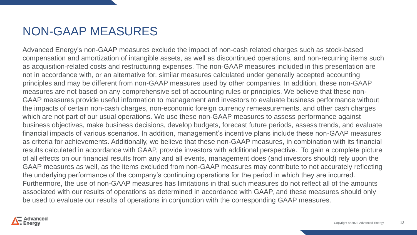### NON-GAAP MEASURES

Advanced Energy's non-GAAP measures exclude the impact of non-cash related charges such as stock-based compensation and amortization of intangible assets, as well as discontinued operations, and non-recurring items such as acquisition-related costs and restructuring expenses. The non-GAAP measures included in this presentation are not in accordance with, or an alternative for, similar measures calculated under generally accepted accounting principles and may be different from non-GAAP measures used by other companies. In addition, these non-GAAP measures are not based on any comprehensive set of accounting rules or principles. We believe that these non-GAAP measures provide useful information to management and investors to evaluate business performance without the impacts of certain non-cash charges, non-economic foreign currency remeasurements, and other cash charges which are not part of our usual operations. We use these non-GAAP measures to assess performance against business objectives, make business decisions, develop budgets, forecast future periods, assess trends, and evaluate financial impacts of various scenarios. In addition, management's incentive plans include these non-GAAP measures as criteria for achievements. Additionally, we believe that these non-GAAP measures, in combination with its financial results calculated in accordance with GAAP, provide investors with additional perspective. To gain a complete picture of all effects on our financial results from any and all events, management does (and investors should) rely upon the GAAP measures as well, as the items excluded from non-GAAP measures may contribute to not accurately reflecting the underlying performance of the company's continuing operations for the period in which they are incurred. Furthermore, the use of non-GAAP measures has limitations in that such measures do not reflect all of the amounts associated with our results of operations as determined in accordance with GAAP, and these measures should only be used to evaluate our results of operations in conjunction with the corresponding GAAP measures.

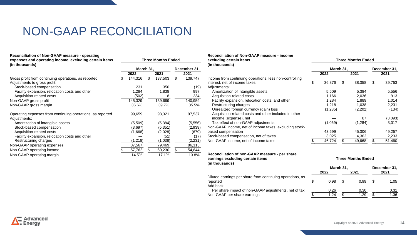### NON-GAAP RECONCILIATION

| Reconciliation of Non-GAAP measure - operating<br>expenses and operating income, excluding certain items<br>(in thousands) | <b>Three Months Ended</b> |           |    |          |              |         |  |  |
|----------------------------------------------------------------------------------------------------------------------------|---------------------------|-----------|----|----------|--------------|---------|--|--|
|                                                                                                                            |                           | March 31, |    |          | December 31, |         |  |  |
|                                                                                                                            |                           | 2022      |    | 2021     |              | 2021    |  |  |
| Gross profit from continuing operations, as reported<br>Adjustments to gross profit:                                       | \$                        | 144,316   | \$ | 137,503  | \$           | 139,747 |  |  |
| Stock-based compensation                                                                                                   |                           | 231       |    | 350      |              | (19)    |  |  |
| Facility expansion, relocation costs and other                                                                             |                           | 1,284     |    | 1,838    |              | 997     |  |  |
| Acquisition-related costs                                                                                                  |                           | (502)     |    | 8        |              | 234     |  |  |
| Non-GAAP gross profit                                                                                                      |                           | 145,329   |    | 139,699  |              | 140,959 |  |  |
| Non-GAAP gross margin                                                                                                      |                           | 36.6%     |    | 39.7%    |              | 35.5%   |  |  |
| Operating expenses from continuing operations, as reported<br>Adjustments:                                                 |                           | 99,659    |    | 93,321   |              | 97,537  |  |  |
| Amortization of intangible assets                                                                                          |                           | (5,509)   |    | (5, 384) |              | (5,556) |  |  |
| Stock-based compensation                                                                                                   |                           | (3,697)   |    | (5, 351) |              | (2,939) |  |  |
| Acquisition-related costs                                                                                                  |                           | (1,668)   |    | (2,028)  |              | (679)   |  |  |
| Facility expansion, relocation costs and other                                                                             |                           |           |    | (51)     |              | (17)    |  |  |
| Restructuring charges                                                                                                      |                           | (1,218)   |    | (1,038)  |              | (2,231) |  |  |
| Non-GAAP operating expenses                                                                                                |                           | 87,567    |    | 79,469   |              | 86,115  |  |  |
| Non-GAAP operating income                                                                                                  |                           | 57,762    | \$ | 60,230   | \$           | 54,844  |  |  |
| Non-GAAP operating margin                                                                                                  |                           | 14.5%     |    | 17.1%    |              | 13.8%   |  |  |

| Reconciliation of Non-GAAP measure - income<br>excluding certain items<br>(in thousands) | <b>Three Months Ended</b> |           |    |         |    |              |  |  |  |
|------------------------------------------------------------------------------------------|---------------------------|-----------|----|---------|----|--------------|--|--|--|
|                                                                                          |                           | March 31, |    |         |    | December 31, |  |  |  |
|                                                                                          |                           | 2022      |    | 2021    |    | 2021         |  |  |  |
| Income from continuing operations, less non-controlling                                  |                           |           |    |         |    |              |  |  |  |
| interest, net of income taxes                                                            | \$                        | 36,876    | \$ | 38.358  | \$ | 39,753       |  |  |  |
| Adjustments:                                                                             |                           |           |    |         |    |              |  |  |  |
| Amortization of intangible assets                                                        |                           | 5,509     |    | 5,384   |    | 5,556        |  |  |  |
| Acquisition-related costs                                                                |                           | 1,166     |    | 2,036   |    | 913          |  |  |  |
| Facility expansion, relocation costs, and other                                          |                           | 1,284     |    | 1,889   |    | 1,014        |  |  |  |
| Restructuring charges                                                                    |                           | 1,218     |    | 1,038   |    | 2,231        |  |  |  |
| Unrealized foreign currency (gain) loss                                                  |                           | (1,285)   |    | (2,202) |    | (134)        |  |  |  |
| Acquisition-related costs and other included in other                                    |                           |           |    |         |    |              |  |  |  |
| income (expense), net                                                                    |                           |           |    | 87      |    | (3,093)      |  |  |  |
| Tax effect of non-GAAP adjustments                                                       |                           | (1,069)   |    | (1,284) |    | 3,017        |  |  |  |
| Non-GAAP income, net of income taxes, excluding stock-                                   |                           |           |    |         |    |              |  |  |  |
| based compensation                                                                       |                           | 43,699    |    | 45,306  |    | 49,257       |  |  |  |
| Stock-based compensation, net of taxes                                                   |                           | 3,025     |    | 4,362   |    | 2,233        |  |  |  |
| Non-GAAP income, net of income taxes                                                     |                           | 46,724    |    | 49,668  |    | 51,490       |  |  |  |
|                                                                                          |                           |           |    |         |    |              |  |  |  |

| Reconciliation of non-GAAP measure - per share |                           |
|------------------------------------------------|---------------------------|
| earnings excluding certain items               | <b>Three Months Ended</b> |
| (in thousands)                                 |                           |

|                                                                                    | 2022 |      | 2021 |      |    | 2021 |
|------------------------------------------------------------------------------------|------|------|------|------|----|------|
| Diluted earnings per share from continuing operations, as<br>reported<br>Add back: |      | 0.98 |      | 0.99 | -S | 1.05 |

Per share impact of non-GAAP adjustments, net of tax

Non-GAAP per share earnings

|            |    | Three Months Ended |              |      |  |  |
|------------|----|--------------------|--------------|------|--|--|
| March 31,  |    |                    | December 31, |      |  |  |
| 2022       |    | 2021               |              | 2021 |  |  |
| \$<br>0.98 | \$ | 0.99               | S            | 1.05 |  |  |
| 0.26       |    | 0.30               |              | 0.31 |  |  |
| \$<br>1.24 |    | 1.29               |              | 1.36 |  |  |